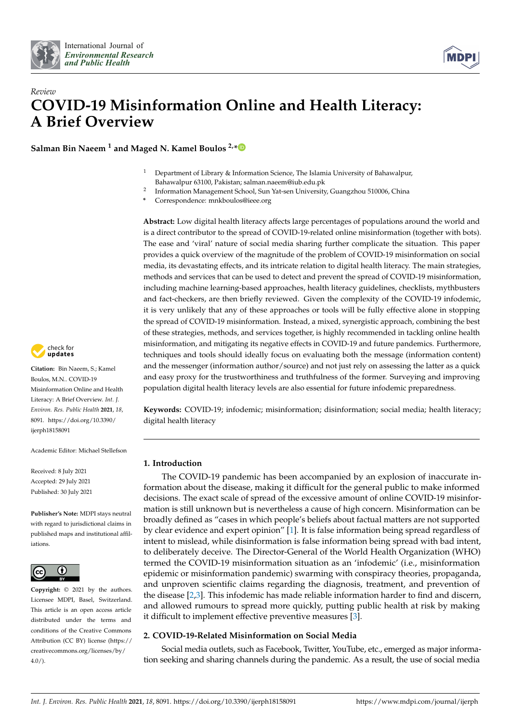



# *Review* **COVID-19 Misinformation Online and Health Literacy: A Brief Overview**

**Salman Bin Naeem <sup>1</sup> and Maged N. Kamel Boulos 2,[\\*](https://orcid.org/0000-0003-2400-6303)**

- <sup>1</sup> Department of Library & Information Science, The Islamia University of Bahawalpur, Bahawalpur 63100, Pakistan; salman.naeem@iub.edu.pk
- 2 Information Management School, Sun Yat-sen University, Guangzhou 510006, China
- **\*** Correspondence: mnkboulos@ieee.org

**Abstract:** Low digital health literacy affects large percentages of populations around the world and is a direct contributor to the spread of COVID-19-related online misinformation (together with bots). The ease and 'viral' nature of social media sharing further complicate the situation. This paper provides a quick overview of the magnitude of the problem of COVID-19 misinformation on social media, its devastating effects, and its intricate relation to digital health literacy. The main strategies, methods and services that can be used to detect and prevent the spread of COVID-19 misinformation, including machine learning-based approaches, health literacy guidelines, checklists, mythbusters and fact-checkers, are then briefly reviewed. Given the complexity of the COVID-19 infodemic, it is very unlikely that any of these approaches or tools will be fully effective alone in stopping the spread of COVID-19 misinformation. Instead, a mixed, synergistic approach, combining the best of these strategies, methods, and services together, is highly recommended in tackling online health misinformation, and mitigating its negative effects in COVID-19 and future pandemics. Furthermore, techniques and tools should ideally focus on evaluating both the message (information content) and the messenger (information author/source) and not just rely on assessing the latter as a quick and easy proxy for the trustworthiness and truthfulness of the former. Surveying and improving population digital health literacy levels are also essential for future infodemic preparedness.

**Keywords:** COVID-19; infodemic; misinformation; disinformation; social media; health literacy; digital health literacy

# **1. Introduction**

The COVID-19 pandemic has been accompanied by an explosion of inaccurate information about the disease, making it difficult for the general public to make informed decisions. The exact scale of spread of the excessive amount of online COVID-19 misinformation is still unknown but is nevertheless a cause of high concern. Misinformation can be broadly defined as "cases in which people's beliefs about factual matters are not supported by clear evidence and expert opinion" [\[1\]](#page-8-0). It is false information being spread regardless of intent to mislead, while disinformation is false information being spread with bad intent, to deliberately deceive. The Director-General of the World Health Organization (WHO) termed the COVID-19 misinformation situation as an 'infodemic' (i.e., misinformation epidemic or misinformation pandemic) swarming with conspiracy theories, propaganda, and unproven scientific claims regarding the diagnosis, treatment, and prevention of the disease [\[2](#page-8-1)[,3\]](#page-8-2). This infodemic has made reliable information harder to find and discern, and allowed rumours to spread more quickly, putting public health at risk by making it difficult to implement effective preventive measures [\[3\]](#page-8-2).

# **2. COVID-19-Related Misinformation on Social Media**

Social media outlets, such as Facebook, Twitter, YouTube, etc., emerged as major information seeking and sharing channels during the pandemic. As a result, the use of social media



**Citation:** Bin Naeem, S.; Kamel Boulos, M.N.. COVID-19 Misinformation Online and Health Literacy: A Brief Overview. *Int. J. Environ. Res. Public Health* **2021**, *18*, 8091. [https://doi.org/10.3390/](https://doi.org/10.3390/ijerph18158091) [ijerph18158091](https://doi.org/10.3390/ijerph18158091)

Academic Editor: Michael Stellefson

Received: 8 July 2021 Accepted: 29 July 2021 Published: 30 July 2021

**Publisher's Note:** MDPI stays neutral with regard to jurisdictional claims in published maps and institutional affiliations.



**Copyright:** © 2021 by the authors. Licensee MDPI, Basel, Switzerland. This article is an open access article distributed under the terms and conditions of the Creative Commons Attribution (CC BY) license (https:/[/](https://creativecommons.org/licenses/by/4.0/) [creativecommons.org/licenses/by/](https://creativecommons.org/licenses/by/4.0/)  $4.0/$ ).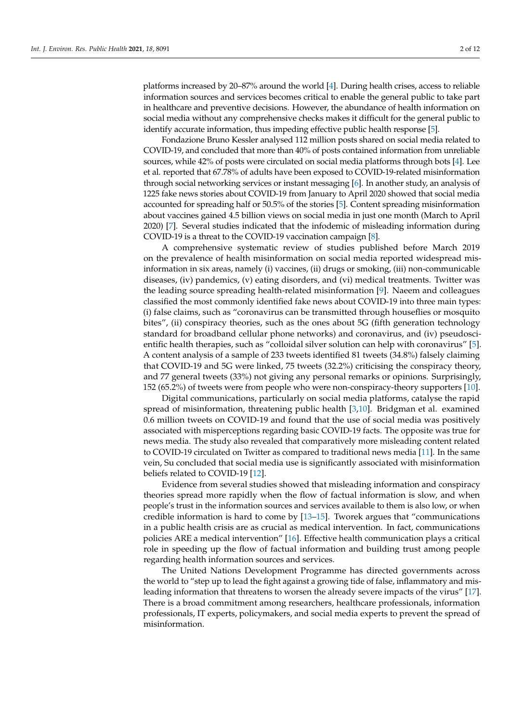platforms increased by 20–87% around the world [\[4\]](#page-8-3). During health crises, access to reliable information sources and services becomes critical to enable the general public to take part in healthcare and preventive decisions. However, the abundance of health information on social media without any comprehensive checks makes it difficult for the general public to identify accurate information, thus impeding effective public health response [\[5\]](#page-8-4).

Fondazione Bruno Kessler analysed 112 million posts shared on social media related to COVID-19, and concluded that more than 40% of posts contained information from unreliable sources, while 42% of posts were circulated on social media platforms through bots [\[4\]](#page-8-3). Lee et al. reported that 67.78% of adults have been exposed to COVID-19-related misinformation through social networking services or instant messaging [\[6\]](#page-8-5). In another study, an analysis of 1225 fake news stories about COVID-19 from January to April 2020 showed that social media accounted for spreading half or 50.5% of the stories [\[5\]](#page-8-4). Content spreading misinformation about vaccines gained 4.5 billion views on social media in just one month (March to April 2020) [\[7\]](#page-8-6). Several studies indicated that the infodemic of misleading information during COVID-19 is a threat to the COVID-19 vaccination campaign [\[8\]](#page-8-7).

A comprehensive systematic review of studies published before March 2019 on the prevalence of health misinformation on social media reported widespread misinformation in six areas, namely (i) vaccines, (ii) drugs or smoking, (iii) non-communicable diseases, (iv) pandemics, (v) eating disorders, and (vi) medical treatments. Twitter was the leading source spreading health-related misinformation [\[9\]](#page-8-8). Naeem and colleagues classified the most commonly identified fake news about COVID-19 into three main types: (i) false claims, such as "coronavirus can be transmitted through houseflies or mosquito bites", (ii) conspiracy theories, such as the ones about 5G (fifth generation technology standard for broadband cellular phone networks) and coronavirus, and (iv) pseudoscientific health therapies, such as "colloidal silver solution can help with coronavirus" [\[5\]](#page-8-4). A content analysis of a sample of 233 tweets identified 81 tweets (34.8%) falsely claiming that COVID-19 and 5G were linked, 75 tweets (32.2%) criticising the conspiracy theory, and 77 general tweets (33%) not giving any personal remarks or opinions. Surprisingly, 152 (65.2%) of tweets were from people who were non-conspiracy-theory supporters [\[10\]](#page-8-9).

Digital communications, particularly on social media platforms, catalyse the rapid spread of misinformation, threatening public health [\[3](#page-8-2)[,10\]](#page-8-9). Bridgman et al. examined 0.6 million tweets on COVID-19 and found that the use of social media was positively associated with misperceptions regarding basic COVID-19 facts. The opposite was true for news media. The study also revealed that comparatively more misleading content related to COVID-19 circulated on Twitter as compared to traditional news media [\[11\]](#page-8-10). In the same vein, Su concluded that social media use is significantly associated with misinformation beliefs related to COVID-19 [\[12\]](#page-8-11).

Evidence from several studies showed that misleading information and conspiracy theories spread more rapidly when the flow of factual information is slow, and when people's trust in the information sources and services available to them is also low, or when credible information is hard to come by  $[13-15]$  $[13-15]$ . Tworek argues that "communications" in a public health crisis are as crucial as medical intervention. In fact, communications policies ARE a medical intervention" [\[16\]](#page-8-14). Effective health communication plays a critical role in speeding up the flow of factual information and building trust among people regarding health information sources and services.

The United Nations Development Programme has directed governments across the world to "step up to lead the fight against a growing tide of false, inflammatory and misleading information that threatens to worsen the already severe impacts of the virus" [\[17\]](#page-8-15). There is a broad commitment among researchers, healthcare professionals, information professionals, IT experts, policymakers, and social media experts to prevent the spread of misinformation.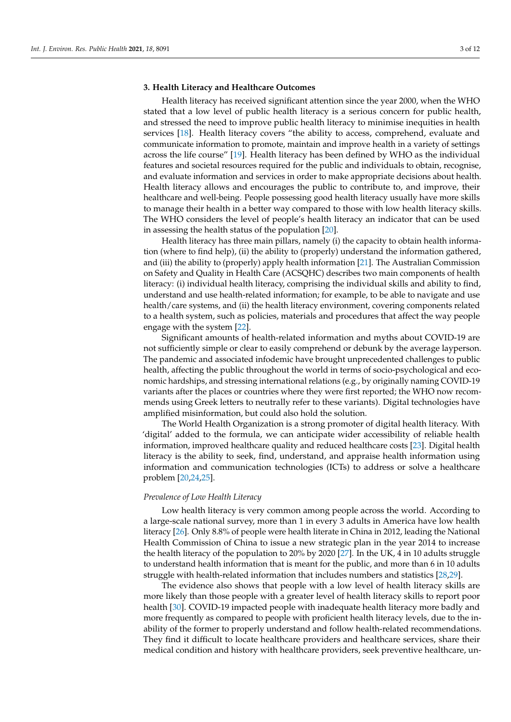#### **3. Health Literacy and Healthcare Outcomes**

Health literacy has received significant attention since the year 2000, when the WHO stated that a low level of public health literacy is a serious concern for public health, and stressed the need to improve public health literacy to minimise inequities in health services [\[18\]](#page-8-16). Health literacy covers "the ability to access, comprehend, evaluate and communicate information to promote, maintain and improve health in a variety of settings across the life course" [\[19\]](#page-8-17). Health literacy has been defined by WHO as the individual features and societal resources required for the public and individuals to obtain, recognise, and evaluate information and services in order to make appropriate decisions about health. Health literacy allows and encourages the public to contribute to, and improve, their healthcare and well-being. People possessing good health literacy usually have more skills to manage their health in a better way compared to those with low health literacy skills. The WHO considers the level of people's health literacy an indicator that can be used in assessing the health status of the population [\[20\]](#page-8-18).

Health literacy has three main pillars, namely (i) the capacity to obtain health information (where to find help), (ii) the ability to (properly) understand the information gathered, and (iii) the ability to (properly) apply health information [\[21\]](#page-8-19). The Australian Commission on Safety and Quality in Health Care (ACSQHC) describes two main components of health literacy: (i) individual health literacy, comprising the individual skills and ability to find, understand and use health-related information; for example, to be able to navigate and use health/care systems, and (ii) the health literacy environment, covering components related to a health system, such as policies, materials and procedures that affect the way people engage with the system [\[22\]](#page-8-20).

Significant amounts of health-related information and myths about COVID-19 are not sufficiently simple or clear to easily comprehend or debunk by the average layperson. The pandemic and associated infodemic have brought unprecedented challenges to public health, affecting the public throughout the world in terms of socio-psychological and economic hardships, and stressing international relations (e.g., by originally naming COVID-19 variants after the places or countries where they were first reported; the WHO now recommends using Greek letters to neutrally refer to these variants). Digital technologies have amplified misinformation, but could also hold the solution.

The World Health Organization is a strong promoter of digital health literacy. With 'digital' added to the formula, we can anticipate wider accessibility of reliable health information, improved healthcare quality and reduced healthcare costs [\[23\]](#page-9-0). Digital health literacy is the ability to seek, find, understand, and appraise health information using information and communication technologies (ICTs) to address or solve a healthcare problem [\[20](#page-8-18)[,24](#page-9-1)[,25\]](#page-9-2).

#### *Prevalence of Low Health Literacy*

Low health literacy is very common among people across the world. According to a large-scale national survey, more than 1 in every 3 adults in America have low health literacy [\[26\]](#page-9-3). Only 8.8% of people were health literate in China in 2012, leading the National Health Commission of China to issue a new strategic plan in the year 2014 to increase the health literacy of the population to 20% by 2020 [\[27\]](#page-9-4). In the UK, 4 in 10 adults struggle to understand health information that is meant for the public, and more than 6 in 10 adults struggle with health-related information that includes numbers and statistics [\[28,](#page-9-5)[29\]](#page-9-6).

The evidence also shows that people with a low level of health literacy skills are more likely than those people with a greater level of health literacy skills to report poor health [\[30\]](#page-9-7). COVID-19 impacted people with inadequate health literacy more badly and more frequently as compared to people with proficient health literacy levels, due to the inability of the former to properly understand and follow health-related recommendations. They find it difficult to locate healthcare providers and healthcare services, share their medical condition and history with healthcare providers, seek preventive healthcare, un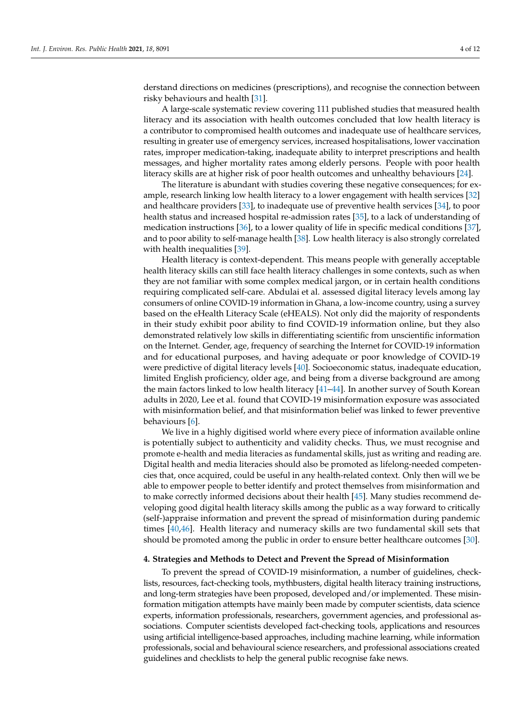derstand directions on medicines (prescriptions), and recognise the connection between risky behaviours and health [\[31\]](#page-9-8).

A large-scale systematic review covering 111 published studies that measured health literacy and its association with health outcomes concluded that low health literacy is a contributor to compromised health outcomes and inadequate use of healthcare services, resulting in greater use of emergency services, increased hospitalisations, lower vaccination rates, improper medication-taking, inadequate ability to interpret prescriptions and health messages, and higher mortality rates among elderly persons. People with poor health literacy skills are at higher risk of poor health outcomes and unhealthy behaviours [\[24\]](#page-9-1).

The literature is abundant with studies covering these negative consequences; for example, research linking low health literacy to a lower engagement with health services [\[32\]](#page-9-9) and healthcare providers [\[33\]](#page-9-10), to inadequate use of preventive health services [\[34\]](#page-9-11), to poor health status and increased hospital re-admission rates [\[35\]](#page-9-12), to a lack of understanding of medication instructions [\[36\]](#page-9-13), to a lower quality of life in specific medical conditions [\[37\]](#page-9-14), and to poor ability to self-manage health [\[38\]](#page-9-15). Low health literacy is also strongly correlated with health inequalities [\[39\]](#page-9-16).

Health literacy is context-dependent. This means people with generally acceptable health literacy skills can still face health literacy challenges in some contexts, such as when they are not familiar with some complex medical jargon, or in certain health conditions requiring complicated self-care. Abdulai et al. assessed digital literacy levels among lay consumers of online COVID-19 information in Ghana, a low-income country, using a survey based on the eHealth Literacy Scale (eHEALS). Not only did the majority of respondents in their study exhibit poor ability to find COVID-19 information online, but they also demonstrated relatively low skills in differentiating scientific from unscientific information on the Internet. Gender, age, frequency of searching the Internet for COVID-19 information and for educational purposes, and having adequate or poor knowledge of COVID-19 were predictive of digital literacy levels [\[40\]](#page-9-17). Socioeconomic status, inadequate education, limited English proficiency, older age, and being from a diverse background are among the main factors linked to low health literacy [\[41–](#page-9-18)[44\]](#page-9-19). In another survey of South Korean adults in 2020, Lee et al. found that COVID-19 misinformation exposure was associated with misinformation belief, and that misinformation belief was linked to fewer preventive behaviours [\[6\]](#page-8-5).

We live in a highly digitised world where every piece of information available online is potentially subject to authenticity and validity checks. Thus, we must recognise and promote e-health and media literacies as fundamental skills, just as writing and reading are. Digital health and media literacies should also be promoted as lifelong-needed competencies that, once acquired, could be useful in any health-related context. Only then will we be able to empower people to better identify and protect themselves from misinformation and to make correctly informed decisions about their health [\[45\]](#page-9-20). Many studies recommend developing good digital health literacy skills among the public as a way forward to critically (self-)appraise information and prevent the spread of misinformation during pandemic times [\[40](#page-9-17)[,46\]](#page-9-21). Health literacy and numeracy skills are two fundamental skill sets that should be promoted among the public in order to ensure better healthcare outcomes [\[30\]](#page-9-7).

#### **4. Strategies and Methods to Detect and Prevent the Spread of Misinformation**

To prevent the spread of COVID-19 misinformation, a number of guidelines, checklists, resources, fact-checking tools, mythbusters, digital health literacy training instructions, and long-term strategies have been proposed, developed and/or implemented. These misinformation mitigation attempts have mainly been made by computer scientists, data science experts, information professionals, researchers, government agencies, and professional associations. Computer scientists developed fact-checking tools, applications and resources using artificial intelligence-based approaches, including machine learning, while information professionals, social and behavioural science researchers, and professional associations created guidelines and checklists to help the general public recognise fake news.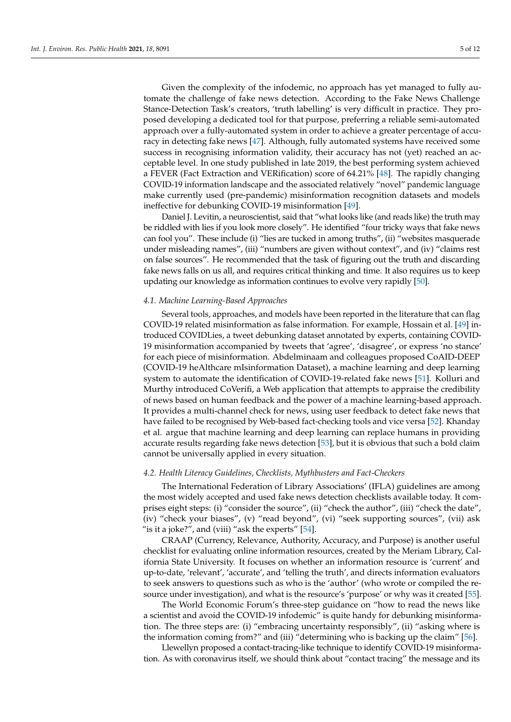Given the complexity of the infodemic, no approach has yet managed to fully automate the challenge of fake news detection. According to the Fake News Challenge Stance-Detection Task's creators, 'truth labelling' is very difficult in practice. They proposed developing a dedicated tool for that purpose, preferring a reliable semi-automated approach over a fully-automated system in order to achieve a greater percentage of accuracy in detecting fake news [\[47\]](#page-9-22). Although, fully automated systems have received some success in recognising information validity, their accuracy has not (yet) reached an acceptable level. In one study published in late 2019, the best performing system achieved a FEVER (Fact Extraction and VERification) score of 64.21% [\[48\]](#page-9-23). The rapidly changing COVID-19 information landscape and the associated relatively "novel" pandemic language make currently used (pre-pandemic) misinformation recognition datasets and models ineffective for debunking COVID-19 misinformation [\[49\]](#page-9-24).

Daniel J. Levitin, a neuroscientist, said that "what looks like (and reads like) the truth may be riddled with lies if you look more closely". He identified "four tricky ways that fake news can fool you". These include (i) "lies are tucked in among truths", (ii) "websites masquerade under misleading names", (iii) "numbers are given without context", and (iv) "claims rest on false sources". He recommended that the task of figuring out the truth and discarding fake news falls on us all, and requires critical thinking and time. It also requires us to keep updating our knowledge as information continues to evolve very rapidly [\[50\]](#page-10-0).

### *4.1. Machine Learning-Based Approaches*

Several tools, approaches, and models have been reported in the literature that can flag COVID-19 related misinformation as false information. For example, Hossain et al. [\[49\]](#page-9-24) introduced COVIDLies, a tweet debunking dataset annotated by experts, containing COVID-19 misinformation accompanied by tweets that 'agree', 'disagree', or express 'no stance' for each piece of misinformation. Abdelminaam and colleagues proposed CoAID-DEEP (COVID-19 heAlthcare mIsinformation Dataset), a machine learning and deep learning system to automate the identification of COVID-19-related fake news [\[51\]](#page-10-1). Kolluri and Murthy introduced CoVerifi, a Web application that attempts to appraise the credibility of news based on human feedback and the power of a machine learning-based approach. It provides a multi-channel check for news, using user feedback to detect fake news that have failed to be recognised by Web-based fact-checking tools and vice versa [\[52\]](#page-10-2). Khanday et al. argue that machine learning and deep learning can replace humans in providing accurate results regarding fake news detection [\[53\]](#page-10-3), but it is obvious that such a bold claim cannot be universally applied in every situation.

## *4.2. Health Literacy Guidelines, Checklists, Mythbusters and Fact-Checkers*

The International Federation of Library Associations' (IFLA) guidelines are among the most widely accepted and used fake news detection checklists available today. It comprises eight steps: (i) "consider the source", (ii) "check the author", (iii) "check the date", (iv) "check your biases", (v) "read beyond", (vi) "seek supporting sources", (vii) ask "is it a joke?", and (viii) "ask the experts"  $[54]$ .

CRAAP (Currency, Relevance, Authority, Accuracy, and Purpose) is another useful checklist for evaluating online information resources, created by the Meriam Library, California State University. It focuses on whether an information resource is 'current' and up-to-date, 'relevant', 'accurate', and 'telling the truth', and directs information evaluators to seek answers to questions such as who is the 'author' (who wrote or compiled the resource under investigation), and what is the resource's 'purpose' or why was it created [\[55\]](#page-10-5).

The World Economic Forum's three-step guidance on "how to read the news like a scientist and avoid the COVID-19 infodemic" is quite handy for debunking misinformation. The three steps are: (i) "embracing uncertainty responsibly", (ii) "asking where is the information coming from?" and (iii) "determining who is backing up the claim" [\[56\]](#page-10-6).

Llewellyn proposed a contact-tracing-like technique to identify COVID-19 misinformation. As with coronavirus itself, we should think about "contact tracing" the message and its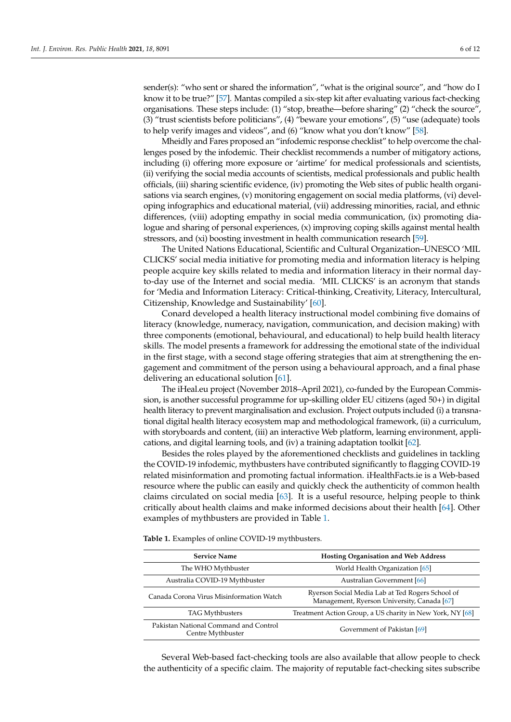sender(s): "who sent or shared the information", "what is the original source", and "how do I know it to be true?" [\[57\]](#page-10-7). Mantas compiled a six-step kit after evaluating various fact-checking organisations. These steps include: (1) "stop, breathe—before sharing" (2) "check the source", (3) "trust scientists before politicians", (4) "beware your emotions", (5) "use (adequate) tools to help verify images and videos", and (6) "know what you don't know" [\[58\]](#page-10-8).

Mheidly and Fares proposed an "infodemic response checklist" to help overcome the challenges posed by the infodemic. Their checklist recommends a number of mitigatory actions, including (i) offering more exposure or 'airtime' for medical professionals and scientists, (ii) verifying the social media accounts of scientists, medical professionals and public health officials, (iii) sharing scientific evidence, (iv) promoting the Web sites of public health organisations via search engines, (v) monitoring engagement on social media platforms, (vi) developing infographics and educational material, (vii) addressing minorities, racial, and ethnic differences, (viii) adopting empathy in social media communication, (ix) promoting dialogue and sharing of personal experiences, (x) improving coping skills against mental health stressors, and (xi) boosting investment in health communication research [\[59\]](#page-10-9).

The United Nations Educational, Scientific and Cultural Organization–UNESCO 'MIL CLICKS' social media initiative for promoting media and information literacy is helping people acquire key skills related to media and information literacy in their normal dayto-day use of the Internet and social media. 'MIL CLICKS' is an acronym that stands for 'Media and Information Literacy: Critical-thinking, Creativity, Literacy, Intercultural, Citizenship, Knowledge and Sustainability' [\[60\]](#page-10-10).

Conard developed a health literacy instructional model combining five domains of literacy (knowledge, numeracy, navigation, communication, and decision making) with three components (emotional, behavioural, and educational) to help build health literacy skills. The model presents a framework for addressing the emotional state of the individual in the first stage, with a second stage offering strategies that aim at strengthening the engagement and commitment of the person using a behavioural approach, and a final phase delivering an educational solution [\[61\]](#page-10-11).

The iHeal.eu project (November 2018–April 2021), co-funded by the European Commission, is another successful programme for up-skilling older EU citizens (aged 50+) in digital health literacy to prevent marginalisation and exclusion. Project outputs included (i) a transnational digital health literacy ecosystem map and methodological framework, (ii) a curriculum, with storyboards and content, (iii) an interactive Web platform, learning environment, applications, and digital learning tools, and (iv) a training adaptation toolkit [\[62\]](#page-10-12).

Besides the roles played by the aforementioned checklists and guidelines in tackling the COVID-19 infodemic, mythbusters have contributed significantly to flagging COVID-19 related misinformation and promoting factual information. iHealthFacts.ie is a Web-based resource where the public can easily and quickly check the authenticity of common health claims circulated on social media [\[63\]](#page-10-13). It is a useful resource, helping people to think critically about health claims and make informed decisions about their health [\[64\]](#page-10-14). Other examples of mythbusters are provided in Table [1.](#page-5-0)

Service Name **Hosting Organisation and Web Address** The WHO Mythbuster World Health Organization [\[65\]](#page-10-15) Australia COVID-19 Mythbuster Australian Government [\[66\]](#page-10-16) Canada Corona Virus Misinformation Watch Ryerson Social Media Lab at Ted Rogers School of Management, Ryerson University, Canada [\[67\]](#page-10-17) TAG Mythbusters Treatment Action Group, a US charity in New York, NY [\[68\]](#page-10-18) Pakistan National Command and Control Government of Pakistan [\[69\]](#page-10-19)

<span id="page-5-0"></span>**Table 1.** Examples of online COVID-19 mythbusters.

Several Web-based fact-checking tools are also available that allow people to check the authenticity of a specific claim. The majority of reputable fact-checking sites subscribe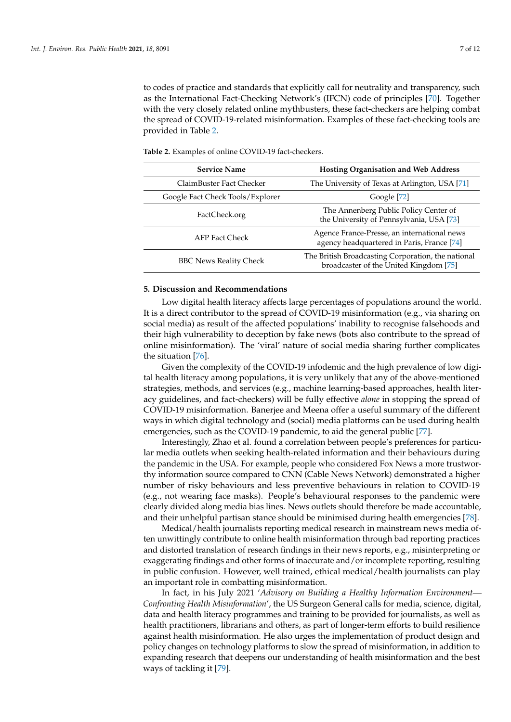to codes of practice and standards that explicitly call for neutrality and transparency, such as the International Fact-Checking Network's (IFCN) code of principles [\[70\]](#page-10-20). Together with the very closely related online mythbusters, these fact-checkers are helping combat the spread of COVID-19-related misinformation. Examples of these fact-checking tools are provided in Table [2.](#page-6-0)

| <b>Service Name</b>              | <b>Hosting Organisation and Web Address</b>                                                  |
|----------------------------------|----------------------------------------------------------------------------------------------|
| ClaimBuster Fact Checker         | The University of Texas at Arlington, USA [71]                                               |
| Google Fact Check Tools/Explorer | Google [72]                                                                                  |
| FactCheck.org                    | The Annenberg Public Policy Center of<br>the University of Pennsylvania, USA [73]            |
| <b>AFP Fact Check</b>            | Agence France-Presse, an international news<br>agency headquartered in Paris, France [74]    |
| <b>BBC News Reality Check</b>    | The British Broadcasting Corporation, the national<br>broadcaster of the United Kingdom [75] |

<span id="page-6-0"></span>**Table 2.** Examples of online COVID-19 fact-checkers.

### **5. Discussion and Recommendations**

Low digital health literacy affects large percentages of populations around the world. It is a direct contributor to the spread of COVID-19 misinformation (e.g., via sharing on social media) as result of the affected populations' inability to recognise falsehoods and their high vulnerability to deception by fake news (bots also contribute to the spread of online misinformation). The 'viral' nature of social media sharing further complicates the situation [\[76\]](#page-10-26).

Given the complexity of the COVID-19 infodemic and the high prevalence of low digital health literacy among populations, it is very unlikely that any of the above-mentioned strategies, methods, and services (e.g., machine learning-based approaches, health literacy guidelines, and fact-checkers) will be fully effective *alone* in stopping the spread of COVID-19 misinformation. Banerjee and Meena offer a useful summary of the different ways in which digital technology and (social) media platforms can be used during health emergencies, such as the COVID-19 pandemic, to aid the general public [\[77\]](#page-10-27).

Interestingly, Zhao et al. found a correlation between people's preferences for particular media outlets when seeking health-related information and their behaviours during the pandemic in the USA. For example, people who considered Fox News a more trustworthy information source compared to CNN (Cable News Network) demonstrated a higher number of risky behaviours and less preventive behaviours in relation to COVID-19 (e.g., not wearing face masks). People's behavioural responses to the pandemic were clearly divided along media bias lines. News outlets should therefore be made accountable, and their unhelpful partisan stance should be minimised during health emergencies [\[78\]](#page-10-28).

Medical/health journalists reporting medical research in mainstream news media often unwittingly contribute to online health misinformation through bad reporting practices and distorted translation of research findings in their news reports, e.g., misinterpreting or exaggerating findings and other forms of inaccurate and/or incomplete reporting, resulting in public confusion. However, well trained, ethical medical/health journalists can play an important role in combatting misinformation.

In fact, in his July 2021 '*Advisory on Building a Healthy Information Environment— Confronting Health Misinformation*', the US Surgeon General calls for media, science, digital, data and health literacy programmes and training to be provided for journalists, as well as health practitioners, librarians and others, as part of longer-term efforts to build resilience against health misinformation. He also urges the implementation of product design and policy changes on technology platforms to slow the spread of misinformation, in addition to expanding research that deepens our understanding of health misinformation and the best ways of tackling it [\[79\]](#page-10-29).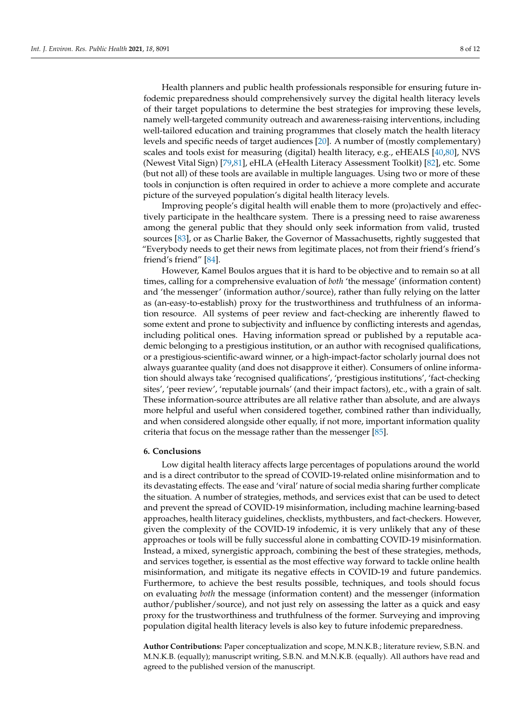Health planners and public health professionals responsible for ensuring future infodemic preparedness should comprehensively survey the digital health literacy levels of their target populations to determine the best strategies for improving these levels, namely well-targeted community outreach and awareness-raising interventions, including well-tailored education and training programmes that closely match the health literacy levels and specific needs of target audiences [\[20\]](#page-8-18). A number of (mostly complementary) scales and tools exist for measuring (digital) health literacy, e.g., eHEALS [\[40,](#page-9-17)[80\]](#page-10-30), NVS (Newest Vital Sign) [\[79](#page-10-29)[,81\]](#page-10-31), eHLA (eHealth Literacy Assessment Toolkit) [\[82\]](#page-10-32), etc. Some (but not all) of these tools are available in multiple languages. Using two or more of these tools in conjunction is often required in order to achieve a more complete and accurate picture of the surveyed population's digital health literacy levels.

Improving people's digital health will enable them to more (pro)actively and effectively participate in the healthcare system. There is a pressing need to raise awareness among the general public that they should only seek information from valid, trusted sources [\[83\]](#page-11-0), or as Charlie Baker, the Governor of Massachusetts, rightly suggested that "Everybody needs to get their news from legitimate places, not from their friend's friend's friend's friend" [\[84\]](#page-11-1).

However, Kamel Boulos argues that it is hard to be objective and to remain so at all times, calling for a comprehensive evaluation of *both* 'the message' (information content) and 'the messenger' (information author/source), rather than fully relying on the latter as (an-easy-to-establish) proxy for the trustworthiness and truthfulness of an information resource. All systems of peer review and fact-checking are inherently flawed to some extent and prone to subjectivity and influence by conflicting interests and agendas, including political ones. Having information spread or published by a reputable academic belonging to a prestigious institution, or an author with recognised qualifications, or a prestigious-scientific-award winner, or a high-impact-factor scholarly journal does not always guarantee quality (and does not disapprove it either). Consumers of online information should always take 'recognised qualifications', 'prestigious institutions', 'fact-checking sites', 'peer review', 'reputable journals' (and their impact factors), etc., with a grain of salt. These information-source attributes are all relative rather than absolute, and are always more helpful and useful when considered together, combined rather than individually, and when considered alongside other equally, if not more, important information quality criteria that focus on the message rather than the messenger [\[85\]](#page-11-2).

#### **6. Conclusions**

Low digital health literacy affects large percentages of populations around the world and is a direct contributor to the spread of COVID-19-related online misinformation and to its devastating effects. The ease and 'viral' nature of social media sharing further complicate the situation. A number of strategies, methods, and services exist that can be used to detect and prevent the spread of COVID-19 misinformation, including machine learning-based approaches, health literacy guidelines, checklists, mythbusters, and fact-checkers. However, given the complexity of the COVID-19 infodemic, it is very unlikely that any of these approaches or tools will be fully successful alone in combatting COVID-19 misinformation. Instead, a mixed, synergistic approach, combining the best of these strategies, methods, and services together, is essential as the most effective way forward to tackle online health misinformation, and mitigate its negative effects in COVID-19 and future pandemics. Furthermore, to achieve the best results possible, techniques, and tools should focus on evaluating *both* the message (information content) and the messenger (information author/publisher/source), and not just rely on assessing the latter as a quick and easy proxy for the trustworthiness and truthfulness of the former. Surveying and improving population digital health literacy levels is also key to future infodemic preparedness.

**Author Contributions:** Paper conceptualization and scope, M.N.K.B.; literature review, S.B.N. and M.N.K.B. (equally); manuscript writing, S.B.N. and M.N.K.B. (equally). All authors have read and agreed to the published version of the manuscript.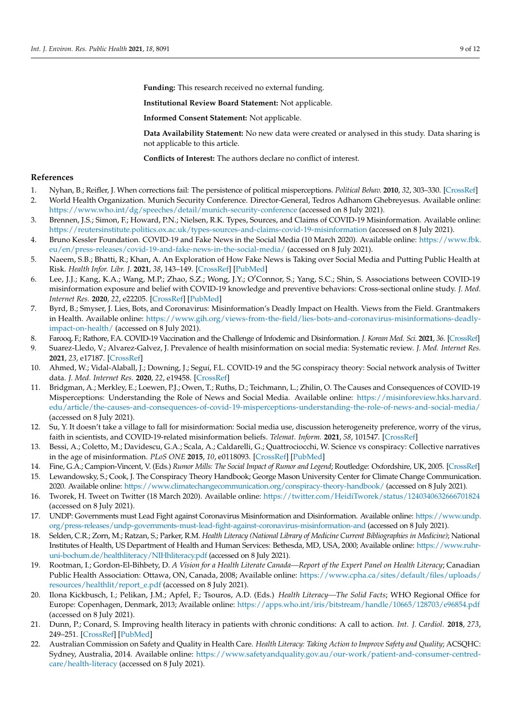**Funding:** This research received no external funding.

**Institutional Review Board Statement:** Not applicable.

**Informed Consent Statement:** Not applicable.

**Data Availability Statement:** No new data were created or analysed in this study. Data sharing is not applicable to this article.

**Conflicts of Interest:** The authors declare no conflict of interest.

#### **References**

- <span id="page-8-0"></span>1. Nyhan, B.; Reifler, J. When corrections fail: The persistence of political misperceptions. *Political Behav.* **2010**, *32*, 303–330. [\[CrossRef\]](http://doi.org/10.1007/s11109-010-9112-2)
- <span id="page-8-1"></span>2. World Health Organization. Munich Security Conference. Director-General, Tedros Adhanom Ghebreyesus. Available online: <https://www.who.int/dg/speeches/detail/munich-security-conference> (accessed on 8 July 2021).
- <span id="page-8-2"></span>3. Brennen, J.S.; Simon, F.; Howard, P.N.; Nielsen, R.K. Types, Sources, and Claims of COVID-19 Misinformation. Available online: <https://reutersinstitute.politics.ox.ac.uk/types-sources-and-claims-covid-19-misinformation> (accessed on 8 July 2021).
- <span id="page-8-3"></span>4. Bruno Kessler Foundation. COVID-19 and Fake News in the Social Media (10 March 2020). Available online: [https://www.fbk.](https://www.fbk.eu/en/press-releases/covid-19-and-fake-news-in-the-social-media/) [eu/en/press-releases/covid-19-and-fake-news-in-the-social-media/](https://www.fbk.eu/en/press-releases/covid-19-and-fake-news-in-the-social-media/) (accessed on 8 July 2021).
- <span id="page-8-4"></span>5. Naeem, S.B.; Bhatti, R.; Khan, A. An Exploration of How Fake News is Taking over Social Media and Putting Public Health at Risk. *Health Infor. Libr. J.* **2021**, *38*, 143–149. [\[CrossRef\]](http://doi.org/10.1111/hir.12320) [\[PubMed\]](http://www.ncbi.nlm.nih.gov/pubmed/32657000)
- <span id="page-8-5"></span>6. Lee, J.J.; Kang, K.A.; Wang, M.P.; Zhao, S.Z.; Wong, J.Y.; O'Connor, S.; Yang, S.C.; Shin, S. Associations between COVID-19 misinformation exposure and belief with COVID-19 knowledge and preventive behaviors: Cross-sectional online study. *J. Med. Internet Res.* **2020**, *22*, e22205. [\[CrossRef\]](http://doi.org/10.2196/22205) [\[PubMed\]](http://www.ncbi.nlm.nih.gov/pubmed/33048825)
- <span id="page-8-6"></span>7. Byrd, B.; Smyser, J. Lies, Bots, and Coronavirus: Misinformation's Deadly Impact on Health. Views from the Field. Grantmakers in Health. Available online: [https://www.gih.org/views-from-the-field/lies-bots-and-coronavirus-misinformations-deadly](https://www.gih.org/views-from-the-field/lies-bots-and-coronavirus-misinformations-deadly-impact-on-health/)[impact-on-health/](https://www.gih.org/views-from-the-field/lies-bots-and-coronavirus-misinformations-deadly-impact-on-health/) (accessed on 8 July 2021).
- <span id="page-8-7"></span>8. Farooq, F.; Rathore, F.A. COVID-19 Vaccination and the Challenge of Infodemic and Disinformation. *J. Korean Med. Sci.* **2021**, *36*. [\[CrossRef\]](http://doi.org/10.3346/jkms.2021.36.e78)
- <span id="page-8-8"></span>9. Suarez-Lledo, V.; Alvarez-Galvez, J. Prevalence of health misinformation on social media: Systematic review. *J. Med. Internet Res.* **2021**, *23*, e17187. [\[CrossRef\]](http://doi.org/10.2196/17187)
- <span id="page-8-9"></span>10. Ahmed, W.; Vidal-Alaball, J.; Downing, J.; Seguí, F.L. COVID-19 and the 5G conspiracy theory: Social network analysis of Twitter data. *J. Med. Internet Res.* **2020**, *22*, e19458. [\[CrossRef\]](http://doi.org/10.2196/19458)
- <span id="page-8-10"></span>11. Bridgman, A.; Merkley, E.; Loewen, P.J.; Owen, T.; Ruths, D.; Teichmann, L.; Zhilin, O. The Causes and Consequences of COVID-19 Misperceptions: Understanding the Role of News and Social Media. Available online: [https://misinforeview.hks.harvard.](https://misinforeview.hks.harvard.edu/article/the-causes-and-consequences-of-covid-19-misperceptions-understanding-the-role-of-news-and-social-media/) [edu/article/the-causes-and-consequences-of-covid-19-misperceptions-understanding-the-role-of-news-and-social-media/](https://misinforeview.hks.harvard.edu/article/the-causes-and-consequences-of-covid-19-misperceptions-understanding-the-role-of-news-and-social-media/) (accessed on 8 July 2021).
- <span id="page-8-11"></span>12. Su, Y. It doesn't take a village to fall for misinformation: Social media use, discussion heterogeneity preference, worry of the virus, faith in scientists, and COVID-19-related misinformation beliefs. *Telemat. Inform.* **2021**, *58*, 101547. [\[CrossRef\]](http://doi.org/10.1016/j.tele.2020.101547)
- <span id="page-8-12"></span>13. Bessi, A.; Coletto, M.; Davidescu, G.A.; Scala, A.; Caldarelli, G.; Quattrociocchi, W. Science vs conspiracy: Collective narratives in the age of misinformation. *PLoS ONE* **2015**, *10*, e0118093. [\[CrossRef\]](http://doi.org/10.1371/journal.pone.0118093) [\[PubMed\]](http://www.ncbi.nlm.nih.gov/pubmed/25706981)
- 14. Fine, G.A.; Campion-Vincent, V. (Eds.) *Rumor Mills: The Social Impact of Rumor and Legend*; Routledge: Oxfordshire, UK, 2005. [\[CrossRef\]](http://doi.org/10.4324/9781315128795)
- <span id="page-8-13"></span>15. Lewandowsky, S.; Cook, J. The Conspiracy Theory Handbook; George Mason University Center for Climate Change Communication. 2020. Available online: <https://www.climatechangecommunication.org/conspiracy-theory-handbook/> (accessed on 8 July 2021).
- <span id="page-8-14"></span>16. Tworek, H. Tweet on Twitter (18 March 2020). Available online: <https://twitter.com/HeidiTworek/status/1240340632666701824> (accessed on 8 July 2021).
- <span id="page-8-15"></span>17. UNDP: Governments must Lead Fight against Coronavirus Misinformation and Disinformation. Available online: [https://www.undp.](https://www.undp.org/press-releases/undp-governments-must-lead-fight-against-coronavirus-misinformation-and) [org/press-releases/undp-governments-must-lead-fight-against-coronavirus-misinformation-and](https://www.undp.org/press-releases/undp-governments-must-lead-fight-against-coronavirus-misinformation-and) (accessed on 8 July 2021).
- <span id="page-8-16"></span>18. Selden, C.R.; Zorn, M.; Ratzan, S.; Parker, R.M. *Health Literacy (National Library of Medicine Current Bibliographies in Medicine)*; National Institutes of Health, US Department of Health and Human Services: Bethesda, MD, USA, 2000; Available online: [https://www.ruhr](https://www.ruhr-uni-bochum.de/healthliteracy/NIHhliteracy.pdf)[uni-bochum.de/healthliteracy/NIHhliteracy.pdf](https://www.ruhr-uni-bochum.de/healthliteracy/NIHhliteracy.pdf) (accessed on 8 July 2021).
- <span id="page-8-17"></span>19. Rootman, I.; Gordon-El-Bihbety, D. *A Vision for a Health Literate Canada—Report of the Expert Panel on Health Literacy*; Canadian Public Health Association: Ottawa, ON, Canada, 2008; Available online: [https://www.cpha.ca/sites/default/files/uploads/](https://www.cpha.ca/sites/default/files/uploads/resources/healthlit/report_e.pdf) [resources/healthlit/report\\_e.pdf](https://www.cpha.ca/sites/default/files/uploads/resources/healthlit/report_e.pdf) (accessed on 8 July 2021).
- <span id="page-8-18"></span>20. Ilona Kickbusch, I.; Pelikan, J.M.; Apfel, F.; Tsouros, A.D. (Eds.) *Health Literacy—The Solid Facts*; WHO Regional Office for Europe: Copenhagen, Denmark, 2013; Available online: <https://apps.who.int/iris/bitstream/handle/10665/128703/e96854.pdf> (accessed on 8 July 2021).
- <span id="page-8-19"></span>21. Dunn, P.; Conard, S. Improving health literacy in patients with chronic conditions: A call to action. *Int. J. Cardiol.* **2018**, *273*, 249–251. [\[CrossRef\]](http://doi.org/10.1016/j.ijcard.2018.08.090) [\[PubMed\]](http://www.ncbi.nlm.nih.gov/pubmed/30193793)
- <span id="page-8-20"></span>22. Australian Commission on Safety and Quality in Health Care. *Health Literacy: Taking Action to Improve Safety and Quality*; ACSQHC: Sydney, Australia, 2014. Available online: [https://www.safetyandquality.gov.au/our-work/patient-and-consumer-centred](https://www.safetyandquality.gov.au/our-work/patient-and-consumer-centred-care/health-literacy)[care/health-literacy](https://www.safetyandquality.gov.au/our-work/patient-and-consumer-centred-care/health-literacy) (accessed on 8 July 2021).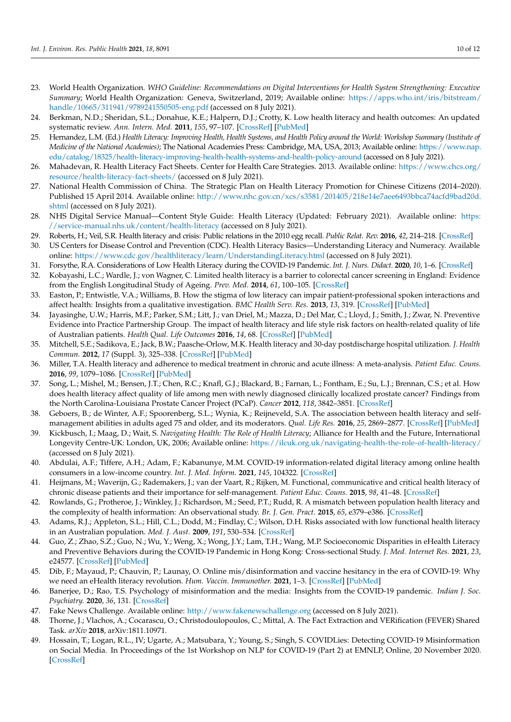- <span id="page-9-0"></span>23. World Health Organization. *WHO Guideline: Recommendations on Digital Interventions for Health System Strengthening: Executive Summary*; World Health Organization: Geneva, Switzerland, 2019; Available online: [https://apps.who.int/iris/bitstream/](https://apps.who.int/iris/bitstream/handle/10665/311941/9789241550505-eng.pdf) [handle/10665/311941/9789241550505-eng.pdf](https://apps.who.int/iris/bitstream/handle/10665/311941/9789241550505-eng.pdf) (accessed on 8 July 2021).
- <span id="page-9-1"></span>24. Berkman, N.D.; Sheridan, S.L.; Donahue, K.E.; Halpern, D.J.; Crotty, K. Low health literacy and health outcomes: An updated systematic review. *Ann. Intern. Med.* **2011**, *155*, 97–107. [\[CrossRef\]](http://doi.org/10.7326/0003-4819-155-2-201107190-00005) [\[PubMed\]](http://www.ncbi.nlm.nih.gov/pubmed/21768583)
- <span id="page-9-2"></span>25. Hernandez, L.M. (Ed.) *Health Literacy: Improving Health, Health Systems, and Health Policy around the World: Workshop Summary (Institute of Medicine of the National Academies)*; The National Academies Press: Cambridge, MA, USA, 2013; Available online: [https://www.nap.](https://www.nap.edu/catalog/18325/health-literacy-improving-health-health-systems-and-health-policy-around) [edu/catalog/18325/health-literacy-improving-health-health-systems-and-health-policy-around](https://www.nap.edu/catalog/18325/health-literacy-improving-health-health-systems-and-health-policy-around) (accessed on 8 July 2021).
- <span id="page-9-3"></span>26. Mahadevan, R. Health Literacy Fact Sheets. Center for Health Care Strategies. 2013. Available online: [https://www.chcs.org/](https://www.chcs.org/resource/health-literacy-fact-sheets/) [resource/health-literacy-fact-sheets/](https://www.chcs.org/resource/health-literacy-fact-sheets/) (accessed on 8 July 2021).
- <span id="page-9-4"></span>27. National Health Commission of China. The Strategic Plan on Health Literacy Promotion for Chinese Citizens (2014–2020). Published 15 April 2014. Available online: [http://www.nhc.gov.cn/xcs/s3581/201405/218e14e7aee6493bbca74acfd9bad20d.](http://www.nhc.gov.cn/xcs/s3581/201405/218e14e7aee6493bbca74acfd9bad20d.shtml) [shtml](http://www.nhc.gov.cn/xcs/s3581/201405/218e14e7aee6493bbca74acfd9bad20d.shtml) (accessed on 8 July 2021).
- <span id="page-9-5"></span>28. NHS Digital Service Manual—Content Style Guide: Health Literacy (Updated: February 2021). Available online: [https:](https://service-manual.nhs.uk/content/health-literacy) [//service-manual.nhs.uk/content/health-literacy](https://service-manual.nhs.uk/content/health-literacy) (accessed on 8 July 2021).
- <span id="page-9-7"></span><span id="page-9-6"></span>29. Roberts, H.; Veil, S.R. Health literacy and crisis: Public relations in the 2010 egg recall. *Public Relat. Rev.* **2016**, *42*, 214–218. [\[CrossRef\]](http://doi.org/10.1016/j.pubrev.2015.07.013) 30. US Centers for Disease Control and Prevention (CDC). Health Literacy Basics—Understanding Literacy and Numeracy. Available
- online: <https://www.cdc.gov/healthliteracy/learn/UnderstandingLiteracy.html> (accessed on 8 July 2021).
- <span id="page-9-8"></span>31. Forsythe, R.A. Considerations of Low Health Literacy during the COVID-19 Pandemic. *Int. J. Nurs. Didact.* **2020**, *10*, 1–6. [\[CrossRef\]](http://doi.org/10.15520/ijnd.v10i11.3152)
- <span id="page-9-9"></span>32. Kobayashi, L.C.; Wardle, J.; von Wagner, C. Limited health literacy is a barrier to colorectal cancer screening in England: Evidence from the English Longitudinal Study of Ageing. *Prev. Med.* **2014**, *61*, 100–105. [\[CrossRef\]](http://doi.org/10.1016/j.ypmed.2013.11.012)
- <span id="page-9-10"></span>33. Easton, P.; Entwistle, V.A.; Williams, B. How the stigma of low literacy can impair patient-professional spoken interactions and affect health: Insights from a qualitative investigation. *BMC Health Serv. Res.* **2013**, *13*, 319. [\[CrossRef\]](http://doi.org/10.1186/1472-6963-13-319) [\[PubMed\]](http://www.ncbi.nlm.nih.gov/pubmed/23958036)
- <span id="page-9-11"></span>34. Jayasinghe, U.W.; Harris, M.F.; Parker, S.M.; Litt, J.; van Driel, M.; Mazza, D.; Del Mar, C.; Lloyd, J.; Smith, J.; Zwar, N. Preventive Evidence into Practice Partnership Group. The impact of health literacy and life style risk factors on health-related quality of life of Australian patients. *Health Qual. Life Outcomes* **2016**, *14*, 68. [\[CrossRef\]](http://doi.org/10.1186/s12955-016-0471-1) [\[PubMed\]](http://www.ncbi.nlm.nih.gov/pubmed/27142865)
- <span id="page-9-12"></span>35. Mitchell, S.E.; Sadikova, E.; Jack, B.W.; Paasche-Orlow, M.K. Health literacy and 30-day postdischarge hospital utilization. *J. Health Commun.* **2012**, *17* (Suppl. 3), 325–338. [\[CrossRef\]](http://doi.org/10.1080/10810730.2012.715233) [\[PubMed\]](http://www.ncbi.nlm.nih.gov/pubmed/23030580)
- <span id="page-9-13"></span>36. Miller, T.A. Health literacy and adherence to medical treatment in chronic and acute illness: A meta-analysis. *Patient Educ. Couns.* **2016**, *99*, 1079–1086. [\[CrossRef\]](http://doi.org/10.1016/j.pec.2016.01.020) [\[PubMed\]](http://www.ncbi.nlm.nih.gov/pubmed/26899632)
- <span id="page-9-14"></span>37. Song, L.; Mishel, M.; Bensen, J.T.; Chen, R.C.; Knafl, G.J.; Blackard, B.; Farnan, L.; Fontham, E.; Su, L.J.; Brennan, C.S.; et al. How does health literacy affect quality of life among men with newly diagnosed clinically localized prostate cancer? Findings from the North Carolina-Louisiana Prostate Cancer Project (PCaP). *Cancer* **2012**, *118*, 3842–3851. [\[CrossRef\]](http://doi.org/10.1002/cncr.26713)
- <span id="page-9-15"></span>38. Geboers, B.; de Winter, A.F.; Spoorenberg, S.L.; Wynia, K.; Reijneveld, S.A. The association between health literacy and selfmanagement abilities in adults aged 75 and older, and its moderators. *Qual. Life Res.* **2016**, *25*, 2869–2877. [\[CrossRef\]](http://doi.org/10.1007/s11136-016-1298-2) [\[PubMed\]](http://www.ncbi.nlm.nih.gov/pubmed/27101999)
- <span id="page-9-16"></span>39. Kickbusch, I.; Maag, D.; Wait, S. *Navigating Health: The Role of Health Literacy*; Alliance for Health and the Future, International Longevity Centre-UK: London, UK, 2006; Available online: <https://ilcuk.org.uk/navigating-health-the-role-of-health-literacy/> (accessed on 8 July 2021).
- <span id="page-9-17"></span>40. Abdulai, A.F.; Tiffere, A.H.; Adam, F.; Kabanunye, M.M. COVID-19 information-related digital literacy among online health consumers in a low-income country. *Int. J. Med. Inform.* **2021**, *145*, 104322. [\[CrossRef\]](http://doi.org/10.1016/j.ijmedinf.2020.104322)
- <span id="page-9-18"></span>41. Heijmans, M.; Waverijn, G.; Rademakers, J.; van der Vaart, R.; Rijken, M. Functional, communicative and critical health literacy of chronic disease patients and their importance for self-management. *Patient Educ. Couns.* **2015**, *98*, 41–48. [\[CrossRef\]](http://doi.org/10.1016/j.pec.2014.10.006)
- 42. Rowlands, G.; Protheroe, J.; Winkley, J.; Richardson, M.; Seed, P.T.; Rudd, R. A mismatch between population health literacy and the complexity of health information: An observational study. *Br. J. Gen. Pract.* **2015**, *65*, e379–e386. [\[CrossRef\]](http://doi.org/10.3399/bjgp15X685285)
- 43. Adams, R.J.; Appleton, S.L.; Hill, C.L.; Dodd, M.; Findlay, C.; Wilson, D.H. Risks associated with low functional health literacy in an Australian population. *Med. J. Aust.* **2009**, *191*, 530–534. [\[CrossRef\]](http://doi.org/10.5694/j.1326-5377.2009.tb03304.x)
- <span id="page-9-19"></span>44. Guo, Z.; Zhao, S.Z.; Guo, N.; Wu, Y.; Weng, X.; Wong, J.Y.; Lam, T.H.; Wang, M.P. Socioeconomic Disparities in eHealth Literacy and Preventive Behaviors during the COVID-19 Pandemic in Hong Kong: Cross-sectional Study. *J. Med. Internet Res.* **2021**, *23*, e24577. [\[CrossRef\]](http://doi.org/10.2196/24577) [\[PubMed\]](http://www.ncbi.nlm.nih.gov/pubmed/33784240)
- <span id="page-9-20"></span>45. Dib, F.; Mayaud, P.; Chauvin, P.; Launay, O. Online mis/disinformation and vaccine hesitancy in the era of COVID-19: Why we need an eHealth literacy revolution. *Hum. Vaccin. Immunother.* **2021**, 1–3. [\[CrossRef\]](http://doi.org/10.1080/21645515.2021.1874218) [\[PubMed\]](http://www.ncbi.nlm.nih.gov/pubmed/33625960)
- <span id="page-9-21"></span>46. Banerjee, D.; Rao, T.S. Psychology of misinformation and the media: Insights from the COVID-19 pandemic. *Indian J. Soc. Psychiatry.* **2020**, *36*, 131. [\[CrossRef\]](http://doi.org/10.4103/ijsp.ijsp_112_20)
- <span id="page-9-22"></span>47. Fake News Challenge. Available online: <http://www.fakenewschallenge.org> (accessed on 8 July 2021).
- <span id="page-9-23"></span>48. Thorne, J.; Vlachos, A.; Cocarascu, O.; Christodoulopoulos, C.; Mittal, A. The Fact Extraction and VERification (FEVER) Shared Task. *arXiv* **2018**, arXiv:1811.10971.
- <span id="page-9-24"></span>49. Hossain, T.; Logan, R.L., IV; Ugarte, A.; Matsubara, Y.; Young, S.; Singh, S. COVIDLies: Detecting COVID-19 Misinformation on Social Media. In Proceedings of the 1st Workshop on NLP for COVID-19 (Part 2) at EMNLP, Online, 20 November 2020. [\[CrossRef\]](http://doi.org/10.18653/v1/2020.nlpcovid19-2.11)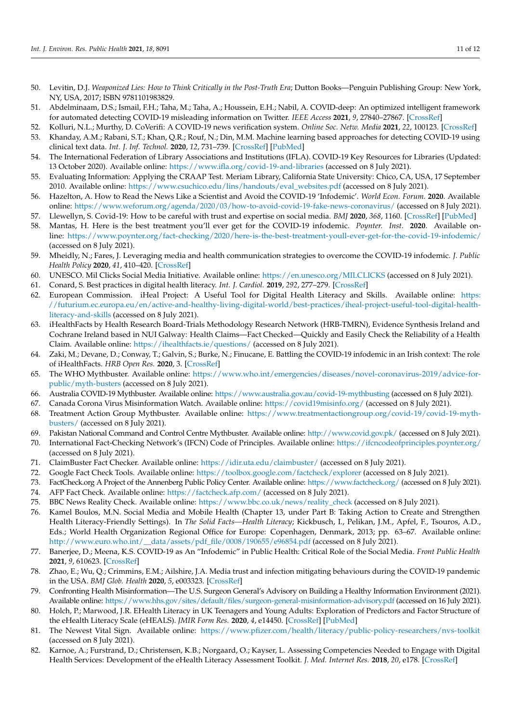- <span id="page-10-0"></span>50. Levitin, D.J. *Weaponized Lies: How to Think Critically in the Post-Truth Era*; Dutton Books—Penguin Publishing Group: New York, NY, USA, 2017; ISBN 9781101983829.
- <span id="page-10-1"></span>51. Abdelminaam, D.S.; Ismail, F.H.; Taha, M.; Taha, A.; Houssein, E.H.; Nabil, A. COVID-deep: An optimized intelligent framework for automated detecting COVID-19 misleading information on Twitter. *IEEE Access* **2021**, *9*, 27840–27867. [\[CrossRef\]](http://doi.org/10.1109/ACCESS.2021.3058066)
- <span id="page-10-2"></span>52. Kolluri, N.L.; Murthy, D. CoVerifi: A COVID-19 news verification system. *Online Soc. Netw. Media* **2021**, *22*, 100123. [\[CrossRef\]](http://doi.org/10.1016/j.osnem.2021.100123)
- <span id="page-10-3"></span>53. Khanday, A.M.; Rabani, S.T.; Khan, Q.R.; Rouf, N.; Din, M.M. Machine learning based approaches for detecting COVID-19 using clinical text data. *Int. J. Inf. Technol.* **2020**, *12*, 731–739. [\[CrossRef\]](http://doi.org/10.1007/s41870-020-00495-9) [\[PubMed\]](http://www.ncbi.nlm.nih.gov/pubmed/32838125)
- <span id="page-10-4"></span>54. The International Federation of Library Associations and Institutions (IFLA). COVID-19 Key Resources for Libraries (Updated: 13 October 2020). Available online: <https://www.ifla.org/covid-19-and-libraries> (accessed on 8 July 2021).
- <span id="page-10-5"></span>55. Evaluating Information: Applying the CRAAP Test. Meriam Library, California State University: Chico, CA, USA, 17 September 2010. Available online: [https://www.csuchico.edu/lins/handouts/eval\\_websites.pdf](https://www.csuchico.edu/lins/handouts/eval_websites.pdf) (accessed on 8 July 2021).
- <span id="page-10-6"></span>56. Hazelton, A. How to Read the News Like a Scientist and Avoid the COVID-19 'Infodemic'. *World Econ. Forum.* **2020**. Available online: <https://www.weforum.org/agenda/2020/03/how-to-avoid-covid-19-fake-news-coronavirus/> (accessed on 8 July 2021).
- <span id="page-10-7"></span>57. Llewellyn, S. Covid-19: How to be careful with trust and expertise on social media. *BMJ* **2020**, *368*, 1160. [\[CrossRef\]](http://doi.org/10.1136/bmj.m1160) [\[PubMed\]](http://www.ncbi.nlm.nih.gov/pubmed/32213480)
- <span id="page-10-8"></span>58. Mantas, H. Here is the best treatment you'll ever get for the COVID-19 infodemic. *Poynter. Inst.* **2020**. Available online: <https://www.poynter.org/fact-checking/2020/here-is-the-best-treatment-youll-ever-get-for-the-covid-19-infodemic/> (accessed on 8 July 2021).
- <span id="page-10-9"></span>59. Mheidly, N.; Fares, J. Leveraging media and health communication strategies to overcome the COVID-19 infodemic. *J. Public Health Policy* **2020**, *41*, 410–420. [\[CrossRef\]](http://doi.org/10.1057/s41271-020-00247-w)
- <span id="page-10-10"></span>60. UNESCO. Mil Clicks Social Media Initiative. Available online: <https://en.unesco.org/MILCLICKS> (accessed on 8 July 2021).
- <span id="page-10-11"></span>61. Conard, S. Best practices in digital health literacy. *Int. J. Cardiol.* **2019**, *292*, 277–279. [\[CrossRef\]](http://doi.org/10.1016/j.ijcard.2019.05.070)
- <span id="page-10-12"></span>62. European Commission. iHeal Project: A Useful Tool for Digital Health Literacy and Skills. Available online: [https:](https://futurium.ec.europa.eu/en/active-and-healthy-living-digital-world/best-practices/iheal-project-useful-tool-digital-health-literacy-and-skills) [//futurium.ec.europa.eu/en/active-and-healthy-living-digital-world/best-practices/iheal-project-useful-tool-digital-health](https://futurium.ec.europa.eu/en/active-and-healthy-living-digital-world/best-practices/iheal-project-useful-tool-digital-health-literacy-and-skills)[literacy-and-skills](https://futurium.ec.europa.eu/en/active-and-healthy-living-digital-world/best-practices/iheal-project-useful-tool-digital-health-literacy-and-skills) (accessed on 8 July 2021).
- <span id="page-10-13"></span>63. iHealthFacts by Health Research Board-Trials Methodology Research Network (HRB-TMRN), Evidence Synthesis Ireland and Cochrane Ireland based in NUI Galway: Health Claims—Fact Checked—Quickly and Easily Check the Reliability of a Health Claim. Available online: <https://ihealthfacts.ie/questions/> (accessed on 8 July 2021).
- <span id="page-10-14"></span>64. Zaki, M.; Devane, D.; Conway, T.; Galvin, S.; Burke, N.; Finucane, E. Battling the COVID-19 infodemic in an Irish context: The role of iHealthFacts. *HRB Open Res.* **2020**, 3. [\[CrossRef\]](http://doi.org/10.12688/hrbopenres.13174.1)
- <span id="page-10-15"></span>65. The WHO Mythbuster. Available online: [https://www.who.int/emergencies/diseases/novel-coronavirus-2019/advice-for](https://www.who.int/emergencies/diseases/novel-coronavirus-2019/advice-for-public/myth-busters)[public/myth-busters](https://www.who.int/emergencies/diseases/novel-coronavirus-2019/advice-for-public/myth-busters) (accessed on 8 July 2021).
- <span id="page-10-16"></span>66. Australia COVID-19 Mythbuster. Available online: <https://www.australia.gov.au/covid-19-mythbusting> (accessed on 8 July 2021).
- <span id="page-10-17"></span>67. Canada Corona Virus Misinformation Watch. Available online: <https://covid19misinfo.org/> (accessed on 8 July 2021).
- <span id="page-10-18"></span>68. Treatment Action Group Mythbuster. Available online: [https://www.treatmentactiongroup.org/covid-19/covid-19-myth](https://www.treatmentactiongroup.org/covid-19/covid-19-myth-busters/)[busters/](https://www.treatmentactiongroup.org/covid-19/covid-19-myth-busters/) (accessed on 8 July 2021).
- <span id="page-10-19"></span>69. Pakistan National Command and Control Centre Mythbuster. Available online: <http://www.covid.gov.pk/> (accessed on 8 July 2021).
- <span id="page-10-20"></span>70. International Fact-Checking Network's (IFCN) Code of Principles. Available online: <https://ifcncodeofprinciples.poynter.org/> (accessed on 8 July 2021).
- <span id="page-10-21"></span>71. ClaimBuster Fact Checker. Available online: <https://idir.uta.edu/claimbuster/> (accessed on 8 July 2021).
- <span id="page-10-22"></span>72. Google Fact Check Tools. Available online: <https://toolbox.google.com/factcheck/explorer> (accessed on 8 July 2021).
- <span id="page-10-23"></span>73. FactCheck.org A Project of the Annenberg Public Policy Center. Available online: <https://www.factcheck.org/> (accessed on 8 July 2021).
- <span id="page-10-24"></span>74. AFP Fact Check. Available online: <https://factcheck.afp.com/> (accessed on 8 July 2021).
- <span id="page-10-25"></span>75. BBC News Reality Check. Available online: [https://www.bbc.co.uk/news/reality\\_check](https://www.bbc.co.uk/news/reality_check) (accessed on 8 July 2021).
- <span id="page-10-26"></span>76. Kamel Boulos, M.N. Social Media and Mobile Health (Chapter 13, under Part B: Taking Action to Create and Strengthen Health Literacy-Friendly Settings). In *The Solid Facts—Health Literacy*; Kickbusch, I., Pelikan, J.M., Apfel, F., Tsouros, A.D., Eds.; World Health Organization Regional Office for Europe: Copenhagen, Denmark, 2013; pp. 63–67. Available online: [http://www.euro.who.int/\\_\\_data/assets/pdf\\_file/0008/190655/e96854.pdf](http://www.euro.who.int/__data/assets/pdf_file/0008/190655/e96854.pdf) (accessed on 8 July 2021).
- <span id="page-10-27"></span>77. Banerjee, D.; Meena, K.S. COVID-19 as An "Infodemic" in Public Health: Critical Role of the Social Media. *Front Public Health* **2021**, *9*, 610623. [\[CrossRef\]](http://doi.org/10.3389/fpubh.2021.610623)
- <span id="page-10-28"></span>78. Zhao, E.; Wu, Q.; Crimmins, E.M.; Ailshire, J.A. Media trust and infection mitigating behaviours during the COVID-19 pandemic in the USA. *BMJ Glob. Health* **2020**, *5*, e003323. [\[CrossRef\]](http://doi.org/10.1136/bmjgh-2020-003323)
- <span id="page-10-29"></span>79. Confronting Health Misinformation—The U.S. Surgeon General's Advisory on Building a Healthy Information Environment (2021). Available online: <https://www.hhs.gov/sites/default/files/surgeon-general-misinformation-advisory.pdf> (accessed on 16 July 2021).
- <span id="page-10-30"></span>80. Holch, P.; Marwood, J.R. EHealth Literacy in UK Teenagers and Young Adults: Exploration of Predictors and Factor Structure of the eHealth Literacy Scale (eHEALS). *JMIR Form Res.* **2020**, *4*, e14450. [\[CrossRef\]](http://doi.org/10.2196/14450) [\[PubMed\]](http://www.ncbi.nlm.nih.gov/pubmed/32897230)
- <span id="page-10-31"></span>81. The Newest Vital Sign. Available online: <https://www.pfizer.com/health/literacy/public-policy-researchers/nvs-toolkit> (accessed on 8 July 2021).
- <span id="page-10-32"></span>82. Karnoe, A.; Furstrand, D.; Christensen, K.B.; Norgaard, O.; Kayser, L. Assessing Competencies Needed to Engage with Digital Health Services: Development of the eHealth Literacy Assessment Toolkit. *J. Med. Internet Res.* **2018**, *20*, e178. [\[CrossRef\]](http://doi.org/10.2196/jmir.8347)